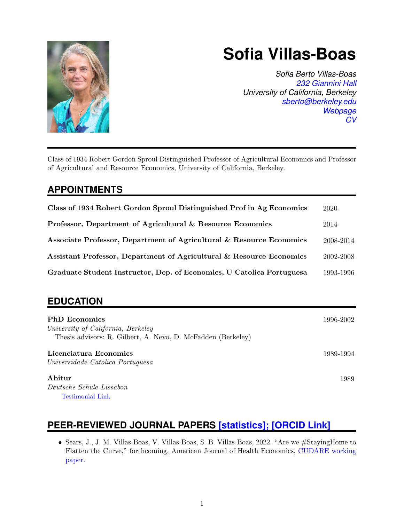

# **Sofia Villas-Boas**

*Sofia Berto Villas-Boas [232 Giannini Hall](https://www.google.com/maps/place/Giannini+Hall,+Berkeley,+CA+94720/@37.8735349,-122.2644873,17z/data=!3m1!4b1!4m5!3m4!1s0x80857c2127240e35:0x5c3cfc3e248cdac0!8m2!3d37.8735349!4d-122.2622986) University of California, Berkeley [sberto@berkeley.edu](mailto:sberto@berkeley.edu) [Webpage](https://are.berkeley.edu/users/sofia-berto-villas-boas) [CV](https://are.berkeley.edu/~sberto/resume_villas-boas.pdf)*

Class of 1934 Robert Gordon Sproul Distinguished Professor of Agricultural Economics and Professor of Agricultural and Resource Economics, University of California, Berkeley.

# **APPOINTMENTS**

| Class of 1934 Robert Gordon Sproul Distinguished Prof in Ag Economics | $2020-$   |
|-----------------------------------------------------------------------|-----------|
| Professor, Department of Agricultural & Resource Economics            | 2014-     |
| Associate Professor, Department of Agricultural & Resource Economics  | 2008-2014 |
| Assistant Professor, Department of Agricultural & Resource Economics  | 2002-2008 |
| Graduate Student Instructor, Dep. of Economics, U Catolica Portuguesa | 1993-1996 |

# **EDUCATION**

| <b>PhD</b> Economics<br>University of California, Berkeley<br>Thesis advisors: R. Gilbert, A. Nevo, D. McFadden (Berkeley) | 1996-2002 |
|----------------------------------------------------------------------------------------------------------------------------|-----------|
| Licenciatura Economics<br>Universidade Catolica Portuguesa                                                                 | 1989-1994 |
| Abitur<br>Deutsche Schule Lissabon<br><b>Testimonial Link</b>                                                              | 1989      |

# **PEER-REVIEWED JOURNAL PAPERS [\[statistics\];](https://scholar.google.com/citations?user=suLn7AsAAAAJ) [\[ORCID Link\]](https://orcid.org/0000-0001-8443-4364)**

• Sears, J., J. M. Villas-Boas, V. Villas-Boas, S. B. Villas-Boas, 2022. "Are we #StayingHome to Flatten the Curve," forthcoming, American Journal of Health Economics, [CUDARE working](https://escholarship.org/uc/item/5h97n884) [paper.](https://escholarship.org/uc/item/5h97n884)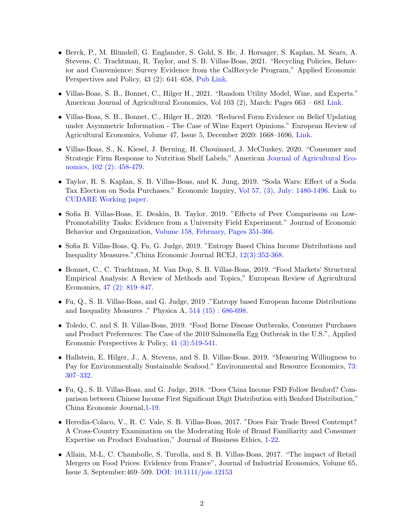- Berck, P., M. Blundell, G. Englander, S. Gold, S. He, J. Horsager, S. Kaplan, M. Sears, A. Stevens, C. Trachtman, R. Taylor, and S. B. Villas-Boas, 2021. "Recycling Policies, Behavior and Convenience: Survey Evidence from the CalRecycle Program," Applied Economic Perspectives and Policy, 43 (2): 641–658, [Pub Link.](https://onlinelibrary.wiley.com/doi/10.1002/aepp.13117)
- Villas-Boas, S. B., Bonnet, C., Hilger H., 2021. "Random Utility Model, Wine, and Experts." American Journal of Agricultural Economics, Vol 103 (2), March: Pages 663 – 681 [Link.](https://academic.oup.com/erae/article/47/5/1668/5813256?guestAccessKey=2bb9e86c-5e2f-404b-b071-f54da878c04d)
- Villas-Boas, S. B., Bonnet, C., Hilger H., 2020. "Reduced Form Evidence on Belief Updating under Asymmetric Information - The Case of Wine Expert Opinions." European Review of Agricultural Economics, Volume 47, Issue 5, December 2020: 1668–1696, [Link.](https://academic.oup.com/erae/advance-article/doi/10.1093/erae/jbz054/5813256?guestAccessKey=7c5f47ec-efe9-4e72-9700-d44e610cd318)
- Villas-Boas, S., K. Kiesel, J. Berning, H. Chouinard, J. McCluskey, 2020. "Consumer and Strategic Firm Response to Nutrition Shelf Labels," American [Journal of Agricultural Eco](https://onlinelibrary.wiley.com/doi/full/10.1002/ajae.12002)[nomics, 102 \(2\): 458-479.](https://onlinelibrary.wiley.com/doi/full/10.1002/ajae.12002)
- Taylor, R. S. Kaplan, S. B. Villas-Boas, and K. Jung, 2019. "Soda Wars: Effect of a Soda Tax Election on Soda Purchases." Economic Inquiry, [Vol 57, \(3\), July: 1480-1496.](http://dx.doi.org/10.1111/ecin.12776 ) Link to [CUDARE Working paper.](https://escholarship.org/uc/item/0q18s7b7)
- Sofia B. Villas-Boas, E. Deakin, B. Taylor, 2019. "Effects of Peer Comparisons on Low-Promotability Tasks: Evidence from a University Field Experiment." Journal of Economic Behavior and Organization, [Volume 158, February, Pages 351-366.](https://doi.org/10.1016/j.jebo.2018.12.005)
- Sofia B. Villas-Boas, Q. Fu, G. Judge, 2019. "Entropy Based China Income Distributions and Inequality Measures.",China Economic Journal RCEJ, [12\(3\):352-368.](https://doi.org/10.1080/17538963.2019.1570620)
- Bonnet, C., C. Trachtman, M. Van Dop, S. B. Villas-Boas, 2019. "Food Markets' Structural Empirical Analysis: A Review of Methods and Topics," European Review of Agricultural Economics, [47 \(2\): 819–847.](https://academic.oup.com//erae/advance-article/doi/10.1093/erae/jby045/5255726?guestAccessKey=2fe64a40-b157-49d9-b1cf-fa2e7360e6fc)
- Fu, Q., S. B. Villas-Boas, and G. Judge, 2019 ."Entropy based European Income Distributions and Inequality Measures ." Physica A, [514 \(15\) : 686-698.](https://doi.org/10.1016/j.physa.2018.09.121)
- Toledo, C. and S. B. Villas-Boas, 2019. "Food Borne Disease Outbreaks, Consumer Purchases and Product Preferences: The Case of the 2010 Salmonella Egg Outbreak in the U.S.", Applied Economic Perspectives & Policy, [41 \(3\):519-541.](https://escholarship.org/uc/item/2348568h)
- Hallstein, E. Hilger, J., A. Stevens, and S. B. Villas-Boas. 2019. "Measuring Willingness to Pay for Environmentally Sustainable Seafood." Environmental and Resource Economics, [73:](https://link.springer.com/article/10.1007%2Fs10640-018-0264-6) [307–332.](https://link.springer.com/article/10.1007%2Fs10640-018-0264-6)
- Fu, Q., S. B. Villas-Boas, and G. Judge, 2018. "Does China Income FSD Follow Benford? Comparison between Chinese Income First Significant Digit Distribution with Benford Distribution," China Economic Journal[,1-19.](https://doi.org/10.1080/17538963.2018.1477418)
- Heredia-Colaco, V., R. C. Vale, S. B. Villas-Boas, 2017. "Does Fair Trade Breed Contempt? A Cross-Country Examination on the Moderating Role of Brand Familiarity and Consumer Expertise on Product Evaluation," Journal of Business Ethics, [1-22.](https://doi.org/10.1007/s10551-017-3572-9)
- Allain, M-L, C. Chambolle, S. Turolla, and S. B. Villas-Boas, 2017. "The impact of Retail Mergers on Food Prices: Evidence from France", Journal of Industrial Economics, Volume 65, Issue 3, September:469–509. <DOI: 10.1111/joie.12153>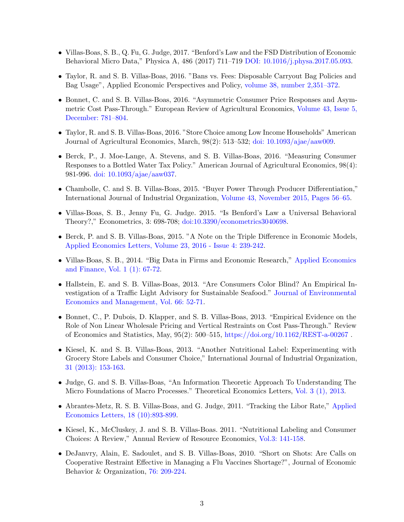- Villas-Boas, S. B., Q. Fu, G. Judge, 2017. "Benford's Law and the FSD Distribution of Economic Behavioral Micro Data," Physica A, 486 (2017) 711–719 [DOI: 10.1016/j.physa.2017.05.093.](https://doi.org/10.1016/j.physa.2017.05.093)
- Taylor, R. and S. B. Villas-Boas, 2016. "Bans vs. Fees: Disposable Carryout Bag Policies and Bag Usage", Applied Economic Perspectives and Policy, [volume 38, number 2,351–372.](https://doi.org/10.1093/aepp/ppv025)
- Bonnet, C. and S. B. Villas-Boas, 2016. "Asymmetric Consumer Price Responses and Asymmetric Cost Pass-Through." European Review of Agricultural Economics, [Volume 43, Issue 5,](https://doi.org/10.1093/erae/jbw001) [December: 781–804.](https://doi.org/10.1093/erae/jbw001)
- Taylor, R. and S. B. Villas-Boas, 2016. "Store Choice among Low Income Households" American Journal of Agricultural Economics, March, 98(2): 513–532; [doi: 10.1093/ajae/aaw009.](https://doi.org/10.1093/ajae/aaw009)
- Berck, P., J. Moe-Lange, A. Stevens, and S. B. Villas-Boas, 2016. "Measuring Consumer Responses to a Bottled Water Tax Policy." American Journal of Agricultural Economics, 98(4): 981-996. [doi: 10.1093/ajae/aaw037.](https://doi.org/10.1093/ajae/aaw037)
- Chambolle, C. and S. B. Villas-Boas, 2015. "Buyer Power Through Producer Differentiation," International Journal of Industrial Organization, [Volume 43, November 2015, Pages 56–65.](https://ideas.repec.org/a/eee/indorg/v43y2015icp56-65.html)
- Villas-Boas, S. B., Jenny Fu, G. Judge. 2015. "Is Benford's Law a Universal Behavioral Theory?," Econometrics, 3: 698-708; [doi:10.3390/econometrics3040698.](https://www.mdpi.com/2225-1146/3/4/698/html)
- Berck, P. and S. B. Villas-Boas, 2015. "A Note on the Triple Difference in Economic Models, [Applied Economics Letters, Volume 23, 2016 - Issue 4: 239-242.](https://www.tandfonline.com/doi/full/10.1080/13504851.2015.1068912)
- Villas-Boas, S. B., 2014. "Big Data in Firms and Economic Research," [Applied Economics](http://redfame.com/journal/index.php/aef/article/view/375) [and Finance, Vol. 1 \(1\): 67-72.](http://redfame.com/journal/index.php/aef/article/view/375)
- Hallstein, E. and S. B. Villas-Boas, 2013. "Are Consumers Color Blind? An Empirical Investigation of a Traffic Light Advisory for Sustainable Seafood." [Journal of Environmental](https://doi.org/10.1016/j.jeem.2013.01.003) [Economics and Management, Vol. 66: 52-71.](https://doi.org/10.1016/j.jeem.2013.01.003)
- Bonnet, C., P. Dubois, D. Klapper, and S. B. Villas-Boas, 2013. "Empirical Evidence on the Role of Non Linear Wholesale Pricing and Vertical Restraints on Cost Pass-Through." Review of Economics and Statistics, May, 95(2): 500–515, [https://doi.org/10.1162/REST-a-00267](https://www.mitpressjournals.org/doi/abs/10.1162/REST_a_00267) .
- Kiesel, K. and S. B. Villas-Boas, 2013. "Another Nutritional Label: Experimenting with Grocery Store Labels and Consumer Choice," International Journal of Industrial Organization, [31 \(2013\): 153-163.](https://ideas.repec.org/a/eee/indorg/v31y2013i2p153-163.html)
- Judge, G. and S. B. Villas-Boas, "An Information Theoretic Approach To Understanding The Micro Foundations of Macro Processes." Theoretical Economics Letters, [Vol. 3 \(1\), 2013.](https://www.scirp.org/Journal/PaperInformation.aspx?PaperID=28160)
- Abrantes-Metz, R. S. B. Villas-Boas, and G. Judge, 2011. "Tracking the Libor Rate," [Applied](https://www.tandfonline.com/doi/abs/10.1080/13504851.2010.515197) [Economics Letters, 18 \(10\):893-899.](https://www.tandfonline.com/doi/abs/10.1080/13504851.2010.515197)
- Kiesel, K., McCluskey, J. and S. B. Villas-Boas. 2011. "Nutritional Labeling and Consumer Choices: A Review," Annual Review of Resource Economics, [Vol.3: 141-158.](https://www.annualreviews.org/doi/full/10.1146/annurev.resource.012809.103957)
- DeJanvry, Alain, E. Sadoulet, and S. B. Villas-Boas, 2010. "Short on Shots: Are Calls on Cooperative Restraint Effective in Managing a Flu Vaccines Shortage?", Journal of Economic Behavior & Organization, [76: 209-224.](https://ideas.repec.org/a/eee/jeborg/v76y2010i2p209-224.html)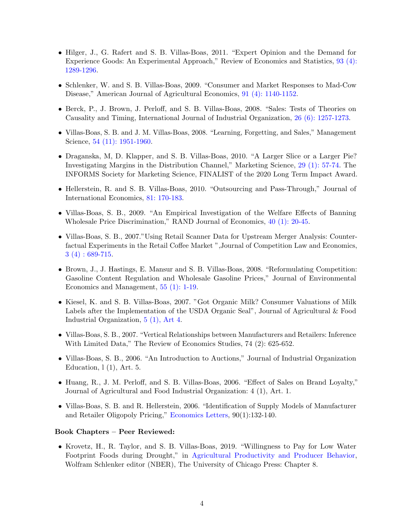- Hilger, J., G. Rafert and S. B. Villas-Boas, 2011. "Expert Opinion and the Demand for Experience Goods: An Experimental Approach," Review of Economics and Statistics, [93 \(4\):](https://www.mitpressjournals.org/doi/abs/10.1162/REST_a_00117) [1289-1296.](https://www.mitpressjournals.org/doi/abs/10.1162/REST_a_00117)
- Schlenker, W. and S. B. Villas-Boas, 2009. "Consumer and Market Responses to Mad-Cow Disease," American Journal of Agricultural Economics, [91 \(4\): 1140-1152.](https://doi.org/10.1111/j.1467-8276.2009.01315.x)
- Berck, P., J. Brown, J. Perloff, and S. B. Villas-Boas, 2008. "Sales: Tests of Theories on Causality and Timing, International Journal of Industrial Organization, [26 \(6\): 1257-1273.](https://doi.org/10.1016/j.ijindorg.2007.12.007)
- Villas-Boas, S. B. and J. M. Villas-Boas, 2008. "Learning, Forgetting, and Sales," Management Science, [54 \(11\): 1951-1960.](https://pubsonline.informs.org/doi/abs/10.1287/mnsc.1080.0909)
- Draganska, M, D. Klapper, and S. B. Villas-Boas, 2010. "A Larger Slice or a Larger Pie? Investigating Margins in the Distribution Channel," Marketing Science, [29 \(1\): 57-74.](https://pubsonline.informs.org/doi/abs/10.1287/mksc.1080.0472) The INFORMS Society for Marketing Science, FINALIST of the 2020 Long Term Impact Award.
- Hellerstein, R. and S. B. Villas-Boas, 2010. "Outsourcing and Pass-Through," Journal of International Economics, [81: 170-183.](https://doi.org/10.1016/j.jinteco.2010.03.004)
- Villas-Boas, S. B., 2009. "An Empirical Investigation of the Welfare Effects of Banning Wholesale Price Discrimination," RAND Journal of Economics, [40 \(1\): 20-45.](https://www.jstor.org/stable/25474418)
- Villas-Boas, S. B., 2007."Using Retail Scanner Data for Upstream Merger Analysis: Counterfactual Experiments in the Retail Coffee Market ",Journal of Competition Law and Economics, [3 \(4\) : 689-715.](https://doi.org/10.1093/joclec/nhm030)
- Brown, J., J. Hastings, E. Mansur and S. B. Villas-Boas, 2008. "Reformulating Competition: Gasoline Content Regulation and Wholesale Gasoline Prices," Journal of Environmental Economics and Management, [55 \(1\): 1-19.](https://ideas.repec.org/a/eee/jeeman/v55y2008i1p1-19.html)
- Kiesel, K. and S. B. Villas-Boas, 2007. "Got Organic Milk? Consumer Valuations of Milk Labels after the Implementation of the USDA Organic Seal", Journal of Agricultural & Food Industrial Organization, [5 \(1\), Art 4.](https://econpapers.repec.org/article/bpjbjafio/v_3a5_3ay_3a2007_3ai_3a1_3an_3a4.htm)
- Villas-Boas, S. B., 2007. "Vertical Relationships between Manufacturers and Retailers: Inference With Limited Data," The Review of Economics Studies, 74 (2): 625-652.
- Villas-Boas, S. B., 2006. "An Introduction to Auctions," Journal of Industrial Organization Education,  $l(1)$ , Art. 5.
- Huang, R., J. M. Perloff, and S. B. Villas-Boas, 2006. "Effect of Sales on Brand Loyalty," Journal of Agricultural and Food Industrial Organization: 4 (1), Art. 1.
- Villas-Boas, S. B. and R. Hellerstein, 2006. "Identification of Supply Models of Manufacturer and Retailer Oligopoly Pricing," [Economics Letters,](https://escholarship.org/uc/item/92x5f4j3) 90(1):132-140.

#### Book Chapters – Peer Reviewed:

• Krovetz, H., R. Taylor, and S. B. Villas-Boas, 2019. "Willingness to Pay for Low Water Footprint Foods during Drought," in [Agricultural Productivity and Producer Behavior,](https://papers.nber.org/books/schl-1) Wolfram Schlenker editor (NBER), The University of Chicago Press: Chapter 8.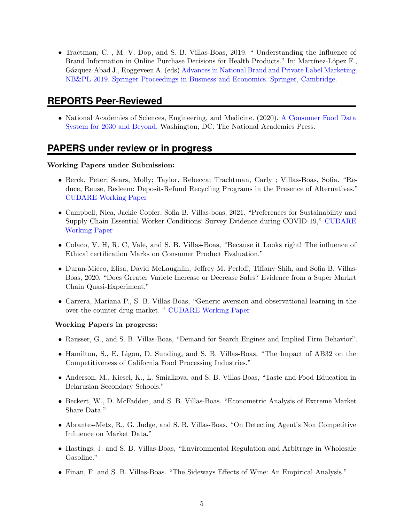• Tractman, C. , M. V. Dop, and S. B. Villas-Boas, 2019. " Understanding the Influence of Brand Information in Online Purchase Decisions for Health Products." In: Martínez-López F., Gázquez-Abad J., Roggeveen A. (eds) [Advances in National Brand and Private Label Marketing.](https://doi.org/10.1007/978-3-030-18911-2_25) [NB&PL 2019. Springer Proceedings in Business and Economics. Springer, Cambridge.](https://doi.org/10.1007/978-3-030-18911-2_25)

## **REPORTS Peer-Reviewed**

• National Academies of Sciences, Engineering, and Medicine. (2020). [A Consumer Food Data](https://doi.org/10.17226/25657.) [System for 2030 and Beyond.](https://doi.org/10.17226/25657.) Washington, DC: The National Academies Press.

# **PAPERS under review or in progress**

#### Working Papers under Submission:

- Berck, Peter; Sears, Molly; Taylor, Rebecca; Trachtman, Carly ; Villas-Boas, Sofia. "Reduce, Reuse, Redeem: Deposit-Refund Recycling Programs in the Presence of Alternatives." [CUDARE Working Paper](http://escholarship.org/uc/item/3cj7r9nh)
- Campbell, Nica, Jackie Copfer, Sofia B. Villas-boas, 2021. "Preferences for Sustainability and Supply Chain Essential Worker Conditions: Survey Evidence during COVID-19," [CUDARE](https://escholarship.org/uc/item/0nv2n39w#article_main) [Working Paper](https://escholarship.org/uc/item/0nv2n39w#article_main)
- Colaco, V. H, R. C, Vale, and S. B. Villas-Boas, "Because it Looks right! The influence of Ethical certification Marks on Consumer Product Evaluation."
- Duran-Micco, Elisa, David McLaughlin, Jeffrey M. Perloff, Tiffany Shih, and Sofia B. Villas-Boas, 2020. "Does Greater Variete Increase or Decrease Sales? Evidence from a Super Market Chain Quasi-Experiment."
- Carrera, Mariana P., S. B. Villas-Boas, "Generic aversion and observational learning in the over-the-counter drug market. " [CUDARE Working Paper](https://escholarship.org/uc/item/7ks7s9jf)

#### Working Papers in progress:

- Rausser, G., and S. B. Villas-Boas, "Demand for Search Engines and Implied Firm Behavior".
- Hamilton, S., E. Ligon, D. Sunding, and S. B. Villas-Boas, "The Impact of AB32 on the Competitiveness of California Food Processing Industries."
- Anderson, M., Kiesel, K., L. Smialkova, and S. B. Villas-Boas, "Taste and Food Education in Belarusian Secondary Schools."
- Beckert, W., D. McFadden, and S. B. Villas-Boas. "Econometric Analysis of Extreme Market Share Data."
- Abrantes-Metz, R., G. Judge, and S. B. Villas-Boas. "On Detecting Agent's Non Competitive Influence on Market Data."
- Hastings, J. and S. B. Villas-Boas, "Environmental Regulation and Arbitrage in Wholesale Gasoline."
- Finan, F. and S. B. Villas-Boas. "The Sideways Effects of Wine: An Empirical Analysis."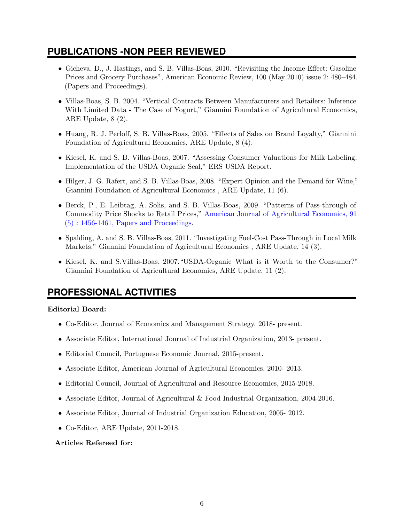# **PUBLICATIONS -NON PEER REVIEWED**

- Gicheva, D., J. Hastings, and S. B. Villas-Boas, 2010. "Revisiting the Income Effect: Gasoline Prices and Grocery Purchases", American Economic Review, 100 (May 2010) issue 2: 480–484. (Papers and Proceedings).
- Villas-Boas, S. B. 2004. "Vertical Contracts Between Manufacturers and Retailers: Inference With Limited Data - The Case of Yogurt," Giannini Foundation of Agricultural Economics, ARE Update, 8 (2).
- Huang, R. J. Perloff, S. B. Villas-Boas, 2005. "Effects of Sales on Brand Loyalty," Giannini Foundation of Agricultural Economics, ARE Update, 8 (4).
- Kiesel, K. and S. B. Villas-Boas, 2007. "Assessing Consumer Valuations for Milk Labeling: Implementation of the USDA Organic Seal," ERS USDA Report.
- Hilger, J. G. Rafert, and S. B. Villas-Boas, 2008. "Expert Opinion and the Demand for Wine," Giannini Foundation of Agricultural Economics , ARE Update, 11 (6).
- Berck, P., E. Leibtag, A. Solis, and S. B. Villas-Boas, 2009. "Patterns of Pass-through of Commodity Price Shocks to Retail Prices," [American Journal of Agricultural Economics, 91](https://doi.org/10.1111/j.1467-8276.2009.01364.x) [\(5\) : 1456-1461, Papers and Proceedings.](https://doi.org/10.1111/j.1467-8276.2009.01364.x)
- Spalding, A. and S. B. Villas-Boas, 2011. "Investigating Fuel-Cost Pass-Through in Local Milk Markets," Giannini Foundation of Agricultural Economics , ARE Update, 14 (3).
- Kiesel, K. and S.Villas-Boas, 2007."USDA-Organic–What is it Worth to the Consumer?" Giannini Foundation of Agricultural Economics, ARE Update, 11 (2).

# **PROFESSIONAL ACTIVITIES**

#### Editorial Board:

- Co-Editor, Journal of Economics and Management Strategy, 2018- present.
- Associate Editor, International Journal of Industrial Organization, 2013- present.
- Editorial Council, Portuguese Economic Journal, 2015-present.
- Associate Editor, American Journal of Agricultural Economics, 2010- 2013.
- Editorial Council, Journal of Agricultural and Resource Economics, 2015-2018.
- Associate Editor, Journal of Agricultural & Food Industrial Organization, 2004-2016.
- Associate Editor, Journal of Industrial Organization Education, 2005- 2012.
- Co-Editor, ARE Update, 2011-2018.

#### Articles Refereed for: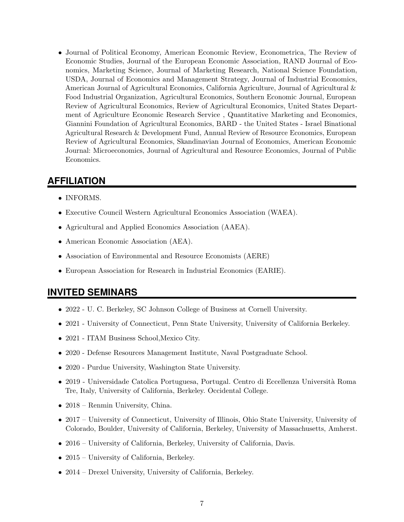• Journal of Political Economy, American Economic Review, Econometrica, The Review of Economic Studies, Journal of the European Economic Association, RAND Journal of Economics, Marketing Science, Journal of Marketing Research, National Science Foundation, USDA, Journal of Economics and Management Strategy, Journal of Industrial Economics, American Journal of Agricultural Economics, California Agriculture, Journal of Agricultural & Food Industrial Organization, Agricultural Economics, Southern Economic Journal, European Review of Agricultural Economics, Review of Agricultural Economics, United States Department of Agriculture Economic Research Service , Quantitative Marketing and Economics, Giannini Foundation of Agricultural Economics, BARD - the United States - Israel Binational Agricultural Research & Development Fund, Annual Review of Resource Economics, European Review of Agricultural Economics, Skandinavian Journal of Economics, American Economic Journal: Microeconomics, Journal of Agricultural and Resource Economics, Journal of Public Economics.

## **AFFILIATION**

- INFORMS.
- Executive Council Western Agricultural Economics Association (WAEA).
- Agricultural and Applied Economics Association (AAEA).
- American Economic Association (AEA).
- Association of Environmental and Resource Economists (AERE)
- European Association for Research in Industrial Economics (EARIE).

## **INVITED SEMINARS**

- 2022 U. C. Berkeley, SC Johnson College of Business at Cornell University.
- 2021 University of Connecticut, Penn State University, University of California Berkeley.
- 2021 ITAM Business School,Mexico City.
- 2020 Defense Resources Management Institute, Naval Postgraduate School.
- 2020 Purdue University, Washington State University.
- 2019 Universidade Catolica Portuguesa, Portugal. Centro di Eccellenza Universit`a Roma Tre, Italy, University of California, Berkeley. Occidental College.
- 2018 Renmin University, China.
- 2017 University of Connecticut, University of Illinois, Ohio State University, University of Colorado, Boulder, University of California, Berkeley, University of Massachusetts, Amherst.
- 2016 University of California, Berkeley, University of California, Davis.
- 2015 University of California, Berkeley.
- 2014 Drexel University, University of California, Berkeley.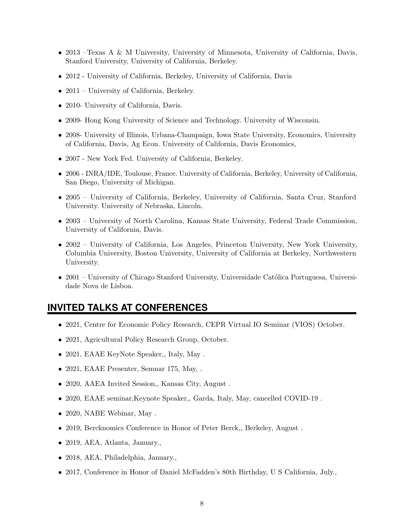- 2013 –Texas A & M University, University of Minnesota, University of California, Davis, Stanford University, University of California, Berkeley.
- 2012 University of California, Berkeley, University of California, Davis
- 2011 University of California, Berkeley.
- 2010- University of California, Davis.
- 2009- Hong Kong University of Science and Technology. University of Wisconsin.
- 2008- University of Illinois, Urbana-Champaign, Iowa State University, Economics, University of California, Davis, Ag Econ. University of California, Davis Economics,
- 2007 New York Fed. University of California, Berkeley.
- 2006 INRA/IDE, Toulouse, France. University of California, Berkeley, University of California, San Diego, University of Michigan.
- 2005 University of California, Berkeley, University of California, Santa Cruz, Stanford University. University of Nebraska, Lincoln.
- 2003 University of North Carolina, Kansas State University, Federal Trade Commission, University of California, Davis.
- 2002 University of California, Los Angeles, Princeton University, New York University, Columbia University, Boston University, University of California at Berkeley, Northwestern University.
- 2001 University of Chicago Stanford University, Universidade Católica Portuguesa, Universidade Nova de Lisboa.

## **INVITED TALKS AT CONFERENCES**

- 2021, Centre for Economic Policy Research, CEPR Virtual IO Seminar (VIOS) October.
- 2021, Agricultural Policy Research Group, October.
- 2021, EAAE KeyNote Speaker, Italy, May.
- 2021, EAAE Presenter, Semnar 175, May, .
- 2020, AAEA Invited Session,, Kansas City, August .
- 2020, EAAE seminar,Keynote Speaker,, Garda, Italy, May, cancelled COVID-19 .
- 2020, NABE Webinar, May .
- 2019, Bercknomics Conference in Honor of Peter Berck,, Berkeley, August .
- 2019, AEA, Atlanta, January.,
- 2018, AEA, Philadelphia, January.,
- 2017, Conference in Honor of Daniel McFadden's 80th Birthday, U S California, July.,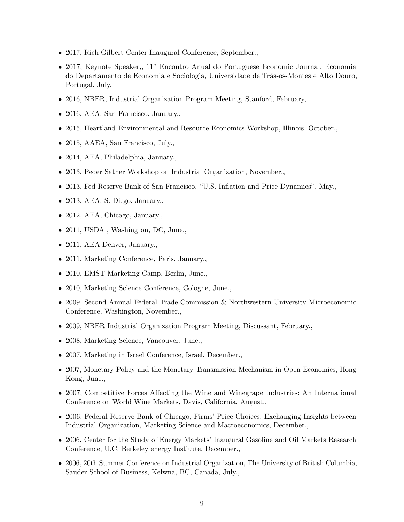- 2017, Rich Gilbert Center Inaugural Conference, September.,
- 2017, Keynote Speaker,, 11<sup>o</sup> Encontro Anual do Portuguese Economic Journal, Economia do Departamento de Economia e Sociologia, Universidade de Trás-os-Montes e Alto Douro, Portugal, July.
- 2016, NBER, Industrial Organization Program Meeting, Stanford, February,
- 2016, AEA, San Francisco, January.,
- 2015, Heartland Environmental and Resource Economics Workshop, Illinois, October.,
- 2015, AAEA, San Francisco, July.,
- 2014, AEA, Philadelphia, January.,
- 2013, Peder Sather Workshop on Industrial Organization, November.
- 2013, Fed Reserve Bank of San Francisco, "U.S. Inflation and Price Dynamics", May.,
- 2013, AEA, S. Diego, January.,
- 2012, AEA, Chicago, January.,
- 2011, USDA, Washington, DC, June.,
- 2011, AEA Denver, January.,
- 2011, Marketing Conference, Paris, January.,
- 2010, EMST Marketing Camp, Berlin, June.,
- 2010, Marketing Science Conference, Cologne, June.,
- 2009, Second Annual Federal Trade Commission & Northwestern University Microeconomic Conference, Washington, November.,
- 2009, NBER Industrial Organization Program Meeting, Discussant, February.,
- 2008, Marketing Science, Vancouver, June.,
- 2007, Marketing in Israel Conference, Israel, December.,
- 2007, Monetary Policy and the Monetary Transmission Mechanism in Open Economies, Hong Kong, June.,
- 2007, Competitive Forces Affecting the Wine and Winegrape Industries: An International Conference on World Wine Markets, Davis, California, August.,
- 2006, Federal Reserve Bank of Chicago, Firms' Price Choices: Exchanging Insights between Industrial Organization, Marketing Science and Macroeconomics, December.,
- 2006, Center for the Study of Energy Markets' Inaugural Gasoline and Oil Markets Research Conference, U.C. Berkeley energy Institute, December.,
- 2006, 20th Summer Conference on Industrial Organization, The University of British Columbia, Sauder School of Business, Kelwna, BC, Canada, July.,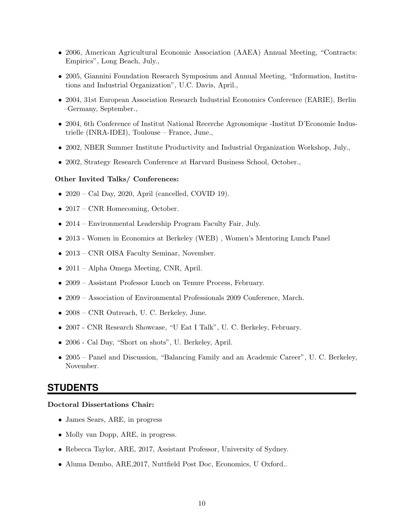- 2006, American Agricultural Economic Association (AAEA) Annual Meeting, "Contracts: Empirics", Long Beach, July.,
- 2005, Giannini Foundation Research Symposium and Annual Meeting, "Information, Institutions and Industrial Organization", U.C. Davis, April.,
- 2004, 31st European Association Research Industrial Economics Conference (EARIE), Berlin –Germany, September.,
- 2004, 6th Conference of Institut National Recerche Agronomique -Institut D'Economie Industrielle (INRA-IDEI), Toulouse – France, June.,
- 2002, NBER Summer Institute Productivity and Industrial Organization Workshop, July.,
- 2002, Strategy Research Conference at Harvard Business School, October.,

#### Other Invited Talks/ Conferences:

- $\bullet$  2020 Cal Day, 2020, April (cancelled, COVID 19).
- 2017 CNR Homecoming, October.
- 2014 Environmental Leadership Program Faculty Fair, July.
- 2013 Women in Economics at Berkeley (WEB) , Women's Mentoring Lunch Panel
- 2013 CNR OISA Faculty Seminar, November.
- 2011 Alpha Omega Meeting, CNR, April.
- 2009 Assistant Professor Lunch on Tenure Process, February.
- 2009 Association of Environmental Professionals 2009 Conference, March.
- 2008 CNR Outreach, U. C. Berkeley, June.
- 2007 CNR Research Showcase, "U Eat I Talk", U. C. Berkeley, February.
- 2006 Cal Day, "Short on shots", U. Berkeley, April.
- 2005 Panel and Discussion, "Balancing Family and an Academic Career", U. C. Berkeley, November.

#### **STUDENTS**

#### Doctoral Dissertations Chair:

- James Sears, ARE, in progress
- Molly van Dopp, ARE, in progress.
- Rebecca Taylor, ARE, 2017, Assistant Professor, University of Sydney.
- Aluma Dembo, ARE,2017, Nuttfield Post Doc, Economics, U Oxford..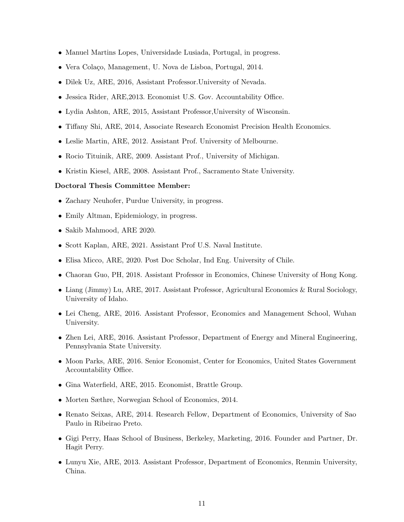- Manuel Martins Lopes, Universidade Lusiada, Portugal, in progress.
- Vera Colaço, Management, U. Nova de Lisboa, Portugal, 2014.
- Dilek Uz, ARE, 2016, Assistant Professor.University of Nevada.
- Jessica Rider, ARE,2013. Economist U.S. Gov. Accountability Office.
- Lydia Ashton, ARE, 2015, Assistant Professor,University of Wisconsin.
- Tiffany Shi, ARE, 2014, Associate Research Economist Precision Health Economics.
- Leslie Martin, ARE, 2012. Assistant Prof. University of Melbourne.
- Rocio Tituinik, ARE, 2009. Assistant Prof., University of Michigan.
- Kristin Kiesel, ARE, 2008. Assistant Prof., Sacramento State University.

#### Doctoral Thesis Committee Member:

- Zachary Neuhofer, Purdue University, in progress.
- Emily Altman, Epidemiology, in progress.
- Sakib Mahmood, ARE 2020.
- Scott Kaplan, ARE, 2021. Assistant Prof U.S. Naval Institute.
- Elisa Micco, ARE, 2020. Post Doc Scholar, Ind Eng. University of Chile.
- Chaoran Guo, PH, 2018. Assistant Professor in Economics, Chinese University of Hong Kong.
- Liang (Jimmy) Lu, ARE, 2017. Assistant Professor, Agricultural Economics & Rural Sociology, University of Idaho.
- Lei Cheng, ARE, 2016. Assistant Professor, Economics and Management School, Wuhan University.
- Zhen Lei, ARE, 2016. Assistant Professor, Department of Energy and Mineral Engineering, Pennsylvania State University.
- Moon Parks, ARE, 2016. Senior Economist, Center for Economics, United States Government Accountability Office.
- Gina Waterfield, ARE, 2015. Economist, Brattle Group.
- Morten Sæthre, Norwegian School of Economics, 2014.
- Renato Seixas, ARE, 2014. Research Fellow, Department of Economics, University of Sao Paulo in Ribeirao Preto.
- Gigi Perry, Haas School of Business, Berkeley, Marketing, 2016. Founder and Partner, Dr. Hagit Perry.
- Lunyu Xie, ARE, 2013. Assistant Professor, Department of Economics, Renmin University, China.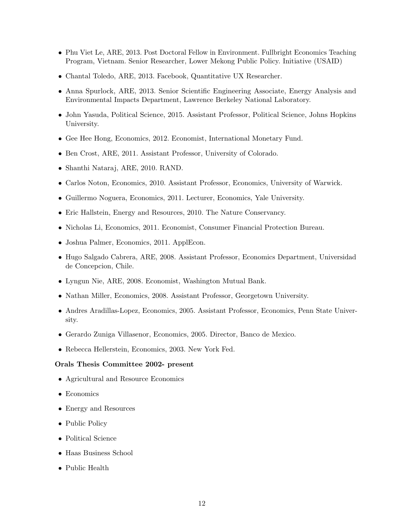- Phu Viet Le, ARE, 2013. Post Doctoral Fellow in Environment. Fullbright Economics Teaching Program, Vietnam. Senior Researcher, Lower Mekong Public Policy. Initiative (USAID)
- Chantal Toledo, ARE, 2013. Facebook, Quantitative UX Researcher.
- Anna Spurlock, ARE, 2013. Senior Scientific Engineering Associate, Energy Analysis and Environmental Impacts Department, Lawrence Berkeley National Laboratory.
- John Yasuda, Political Science, 2015. Assistant Professor, Political Science, Johns Hopkins University.
- Gee Hee Hong, Economics, 2012. Economist, International Monetary Fund.
- Ben Crost, ARE, 2011. Assistant Professor, University of Colorado.
- Shanthi Nataraj, ARE, 2010. RAND.
- Carlos Noton, Economics, 2010. Assistant Professor, Economics, University of Warwick.
- Guillermo Noguera, Economics, 2011. Lecturer, Economics, Yale University.
- Eric Hallstein, Energy and Resources, 2010. The Nature Conservancy.
- Nicholas Li, Economics, 2011. Economist, Consumer Financial Protection Bureau.
- Joshua Palmer, Economics, 2011. ApplEcon.
- Hugo Salgado Cabrera, ARE, 2008. Assistant Professor, Economics Department, Universidad de Concepcion, Chile.
- Lyngun Nie, ARE, 2008. Economist, Washington Mutual Bank.
- Nathan Miller, Economics, 2008. Assistant Professor, Georgetown University.
- Andres Aradillas-Lopez, Economics, 2005. Assistant Professor, Economics, Penn State University.
- Gerardo Zuniga Villasenor, Economics, 2005. Director, Banco de Mexico.
- Rebecca Hellerstein, Economics, 2003. New York Fed.

#### Orals Thesis Committee 2002- present

- Agricultural and Resource Economics
- Economics
- Energy and Resources
- Public Policy
- Political Science
- Haas Business School
- Public Health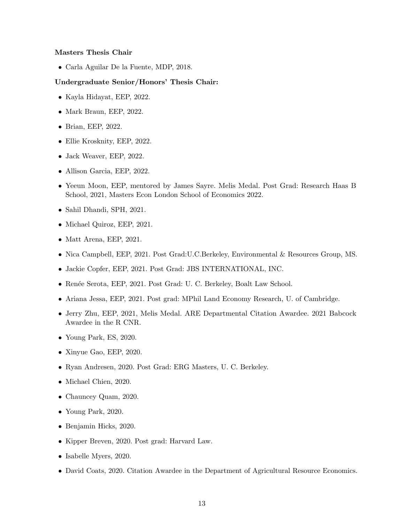#### Masters Thesis Chair

• Carla Aguilar De la Fuente, MDP, 2018.

#### Undergraduate Senior/Honors' Thesis Chair:

- Kayla Hidayat, EEP, 2022.
- Mark Braun, EEP, 2022.
- Brian, EEP, 2022.
- Ellie Krosknity, EEP, 2022.
- Jack Weaver, EEP, 2022.
- Allison Garcia, EEP, 2022.
- Yeeun Moon, EEP, mentored by James Sayre. Melis Medal. Post Grad: Research Haas B School, 2021, Masters Econ London School of Economics 2022.
- Sahil Dhandi, SPH, 2021.
- Michael Quiroz, EEP, 2021.
- Matt Arena, EEP, 2021.
- Nica Campbell, EEP, 2021. Post Grad:U.C.Berkeley, Environmental & Resources Group, MS.
- Jackie Copfer, EEP, 2021. Post Grad: JBS INTERNATIONAL, INC.
- Renée Serota, EEP, 2021. Post Grad: U. C. Berkeley, Boalt Law School.
- Ariana Jessa, EEP, 2021. Post grad: MPhil Land Economy Research, U. of Cambridge.
- Jerry Zhu, EEP, 2021, Melis Medal. ARE Departmental Citation Awardee. 2021 Babcock Awardee in the R CNR.
- Young Park, ES, 2020.
- Xinyue Gao, EEP, 2020.
- Ryan Andresen, 2020. Post Grad: ERG Masters, U. C. Berkeley.
- Michael Chien, 2020.
- Chauncey Quam, 2020.
- Young Park, 2020.
- Benjamin Hicks, 2020.
- Kipper Breven, 2020. Post grad: Harvard Law.
- Isabelle Myers, 2020.
- David Coats, 2020. Citation Awardee in the Department of Agricultural Resource Economics.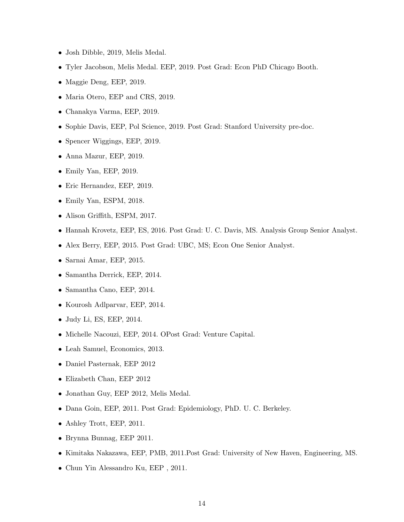- Josh Dibble, 2019, Melis Medal.
- Tyler Jacobson, Melis Medal. EEP, 2019. Post Grad: Econ PhD Chicago Booth.
- Maggie Deng, EEP, 2019.
- Maria Otero, EEP and CRS, 2019.
- Chanakya Varma, EEP, 2019.
- Sophie Davis, EEP, Pol Science, 2019. Post Grad: Stanford University pre-doc.
- Spencer Wiggings, EEP, 2019.
- Anna Mazur, EEP, 2019.
- Emily Yan, EEP, 2019.
- Eric Hernandez, EEP, 2019.
- Emily Yan, ESPM, 2018.
- Alison Griffith, ESPM, 2017.
- Hannah Krovetz, EEP, ES, 2016. Post Grad: U. C. Davis, MS. Analysis Group Senior Analyst.
- Alex Berry, EEP, 2015. Post Grad: UBC, MS; Econ One Senior Analyst.
- Sarnai Amar, EEP, 2015.
- Samantha Derrick, EEP, 2014.
- Samantha Cano, EEP, 2014.
- Kourosh Adlparvar, EEP, 2014.
- Judy Li, ES, EEP, 2014.
- Michelle Nacouzi, EEP, 2014. OPost Grad: Venture Capital.
- Leah Samuel, Economics, 2013.
- Daniel Pasternak, EEP 2012
- Elizabeth Chan, EEP 2012
- Jonathan Guy, EEP 2012, Melis Medal.
- Dana Goin, EEP, 2011. Post Grad: Epidemiology, PhD. U. C. Berkeley.
- Ashley Trott, EEP, 2011.
- Brynna Bunnag, EEP 2011.
- Kimitaka Nakazawa, EEP, PMB, 2011.Post Grad: University of New Haven, Engineering, MS.
- Chun Yin Alessandro Ku, EEP , 2011.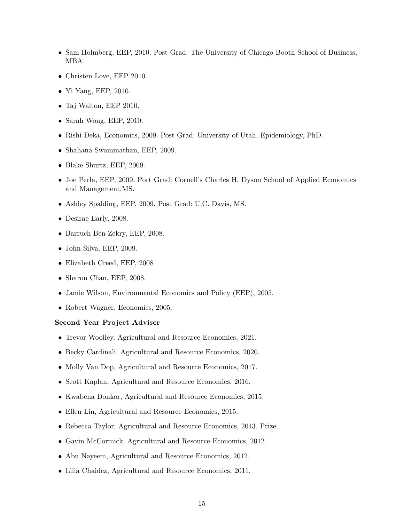- Sam Holmberg, EEP, 2010. Post Grad: The University of Chicago Booth School of Business, MBA.
- Christen Love, EEP 2010.
- Yi Yang, EEP, 2010.
- Taj Walton, EEP 2010.
- Sarah Wong, EEP, 2010.
- Rishi Deka, Economics, 2009. Post Grad: University of Utah, Epidemiology, PhD.
- Shahana Swaminathan, EEP, 2009.
- Blake Shurtz, EEP, 2009.
- Joe Perla, EEP, 2009. Port Grad: Cornell's Charles H. Dyson School of Applied Economics and Management,MS.
- Ashley Spalding, EEP, 2009. Post Grad: U.C. Davis, MS.
- Desirae Early, 2008.
- Barruch Ben-Zekry, EEP, 2008.
- John Silva, EEP, 2009.
- Elizabeth Creed, EEP, 2008
- Sharon Chan, EEP, 2008.
- Jamie Wilson, Environmental Economics and Policy (EEP), 2005.
- Robert Wagner, Economics, 2005.

#### Second Year Project Adviser

- Trevor Woolley, Agricultural and Resource Economics, 2021.
- Becky Cardinali, Agricultural and Resource Economics, 2020.
- Molly Van Dop, Agricultural and Resource Economics, 2017.
- Scott Kaplan, Agricultural and Resource Economics, 2016.
- Kwabena Donkor, Agricultural and Resource Economics, 2015.
- Ellen Lin, Agricultural and Resource Economics, 2015.
- Rebecca Taylor, Agricultural and Resource Economics, 2013. Prize.
- Gavin McCormick, Agricultural and Resource Economics, 2012.
- Abu Nayeem, Agricultural and Resource Economics, 2012.
- Lilia Chaidez, Agricultural and Resource Economics, 2011.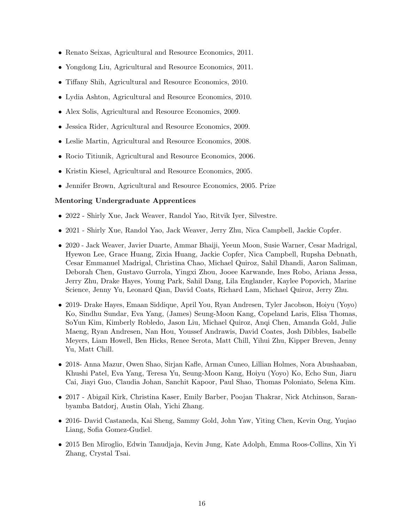- Renato Seixas, Agricultural and Resource Economics, 2011.
- Yongdong Liu, Agricultural and Resource Economics, 2011.
- Tiffany Shih, Agricultural and Resource Economics, 2010.
- Lydia Ashton, Agricultural and Resource Economics, 2010.
- Alex Solis, Agricultural and Resource Economics, 2009.
- Jessica Rider, Agricultural and Resource Economics, 2009.
- Leslie Martin, Agricultural and Resource Economics, 2008.
- Rocio Titiunik, Agricultural and Resource Economics, 2006.
- Kristin Kiesel, Agricultural and Resource Economics, 2005.
- Jennifer Brown, Agricultural and Resource Economics, 2005. Prize

#### Mentoring Undergraduate Apprentices

- 2022 Shirly Xue, Jack Weaver, Randol Yao, Ritvik Iyer, Silvestre.
- 2021 Shirly Xue, Randol Yao, Jack Weaver, Jerry Zhu, Nica Campbell, Jackie Copfer.
- 2020 Jack Weaver, Javier Duarte, Ammar Bhaiji, Yeeun Moon, Susie Warner, Cesar Madrigal, Hyewon Lee, Grace Huang, Zixia Huang, Jackie Copfer, Nica Campbell, Rupsha Debnath, Cesar Emmanuel Madrigal, Christina Chao, Michael Quiroz, Sahil Dhandi, Aaron Saliman, Deborah Chen, Gustavo Gurrola, Yingxi Zhou, Jooee Karwande, Ines Robo, Ariana Jessa, Jerry Zhu, Drake Hayes, Young Park, Sahil Dang, Lila Englander, Kaylee Popovich, Marine Science, Jenny Yu, Leonard Qian, David Coats, Richard Lam, Michael Quiroz, Jerry Zhu.
- 2019- Drake Hayes, Emaan Siddique, April You, Ryan Andresen, Tyler Jacobson, Hoiyu (Yoyo) Ko, Sindhu Sundar, Eva Yang, (James) Seung-Moon Kang, Copeland Laris, Elisa Thomas, SoYun Kim, Kimberly Robledo, Jason Liu, Michael Quiroz, Anqi Chen, Amanda Gold, Julie Maeng, Ryan Andresen, Nan Hou, Youssef Andrawis, David Coates, Josh Dibbles, Isabelle Meyers, Liam Howell, Ben Hicks, Renee Serota, Matt Chill, Yihui Zhu, Kipper Breven, Jenny Yu, Matt Chill.
- 2018- Anna Mazur, Owen Shao, Sirjan Kafle, Arman Cuneo, Lillian Holmes, Nora Abushaaban, Khushi Patel, Eva Yang, Teresa Yu, Seung-Moon Kang, Hoiyu (Yoyo) Ko, Echo Sun, Jiaru Cai, Jiayi Guo, Claudia Johan, Sanchit Kapoor, Paul Shao, Thomas Poloniato, Selena Kim.
- 2017 Abigail Kirk, Christina Kaser, Emily Barber, Poojan Thakrar, Nick Atchinson, Saranbyamba Batdorj, Austin Olah, Yichi Zhang.
- 2016- David Castaneda, Kai Sheng, Sammy Gold, John Yaw, Yiting Chen, Kevin Ong, Yuqiao Liang, Sofia Gomez-Gudiel.
- 2015 Ben Miroglio, Edwin Tanudjaja, Kevin Jung, Kate Adolph, Emma Roos-Collins, Xin Yi Zhang, Crystal Tsai.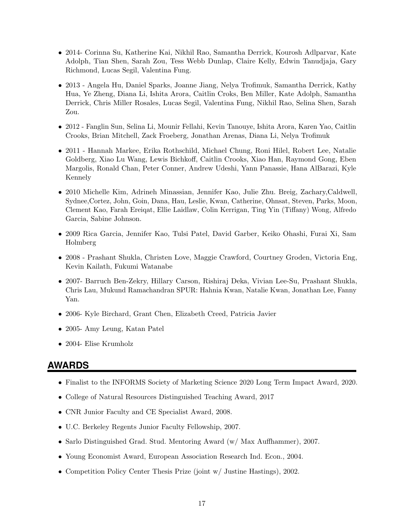- 2014- Corinna Su, Katherine Kai, Nikhil Rao, Samantha Derrick, Kourosh Adlparvar, Kate Adolph, Tian Shen, Sarah Zou, Tess Webb Dunlap, Claire Kelly, Edwin Tanudjaja, Gary Richmond, Lucas Segil, Valentina Fung.
- 2013 Angela Hu, Daniel Sparks, Joanne Jiang, Nelya Trofimuk, Samantha Derrick, Kathy Hua, Ye Zheng, Diana Li, Ishita Arora, Caitlin Croks, Ben Miller, Kate Adolph, Samantha Derrick, Chris Miller Rosales, Lucas Segil, Valentina Fung, Nikhil Rao, Selina Shen, Sarah Zou.
- 2012 Fanglin Sun, Selina Li, Mounir Fellahi, Kevin Tanouye, Ishita Arora, Karen Yao, Caitlin Crooks, Brian Mitchell, Zack Froeberg, Jonathan Arenas, Diana Li, Nelya Trofimuk
- 2011 Hannah Markee, Erika Rothschild, Michael Chung, Roni Hilel, Robert Lee, Natalie Goldberg, Xiao Lu Wang, Lewis Bichkoff, Caitlin Crooks, Xiao Han, Raymond Gong, Eben Margolis, Ronald Chan, Peter Conner, Andrew Udeshi, Yann Panassie, Hana AlBarazi, Kyle Kennely
- 2010 Michelle Kim, Adrineh Minassian, Jennifer Kao, Julie Zhu. Breig, Zachary,Caldwell, Sydnee,Cortez, John, Goin, Dana, Hau, Leslie, Kwan, Catherine, Ohnsat, Steven, Parks, Moon, Clement Kao, Farah Ereiqat, Ellie Laidlaw, Colin Kerrigan, Ting Yin (Tiffany) Wong, Alfredo Garcia, Sabine Johnson.
- 2009 Rica Garcia, Jennifer Kao, Tulsi Patel, David Garber, Keiko Ohashi, Furai Xi, Sam Holmberg
- 2008 Prashant Shukla, Christen Love, Maggie Crawford, Courtney Groden, Victoria Eng, Kevin Kailath, Fukumi Watanabe
- 2007- Barruch Ben-Zekry, Hillary Carson, Rishiraj Deka, Vivian Lee-Su, Prashant Shukla, Chris Lau, Mukund Ramachandran SPUR: Hahnia Kwan, Natalie Kwan, Jonathan Lee, Fanny Yan.
- 2006- Kyle Birchard, Grant Chen, Elizabeth Creed, Patricia Javier
- 2005- Amy Leung, Katan Patel
- 2004- Elise Krumholz

### **AWARDS**

- Finalist to the INFORMS Society of Marketing Science 2020 Long Term Impact Award, 2020.
- College of Natural Resources Distinguished Teaching Award, 2017
- CNR Junior Faculty and CE Specialist Award, 2008.
- U.C. Berkeley Regents Junior Faculty Fellowship, 2007.
- Sarlo Distinguished Grad. Stud. Mentoring Award (w/ Max Auffhammer), 2007.
- Young Economist Award, European Association Research Ind. Econ., 2004.
- Competition Policy Center Thesis Prize (joint w/ Justine Hastings), 2002.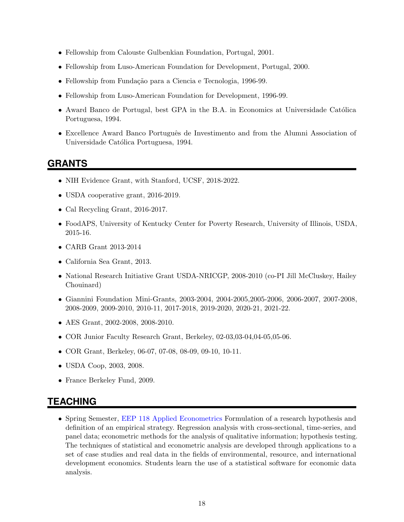- Fellowship from Calouste Gulbenkian Foundation, Portugal, 2001.
- Fellowship from Luso-American Foundation for Development, Portugal, 2000.
- Fellowship from Fundação para a Ciencia e Tecnologia, 1996-99.
- Fellowship from Luso-American Foundation for Development, 1996-99.
- Award Banco de Portugal, best GPA in the B.A. in Economics at Universidade Católica Portuguesa, 1994.
- Excellence Award Banco Português de Investimento and from the Alumni Association of Universidade Católica Portuguesa, 1994.

## **GRANTS**

- NIH Evidence Grant, with Stanford, UCSF, 2018-2022.
- USDA cooperative grant, 2016-2019.
- Cal Recycling Grant, 2016-2017.
- FoodAPS, University of Kentucky Center for Poverty Research, University of Illinois, USDA, 2015-16.
- CARB Grant 2013-2014
- California Sea Grant, 2013.
- National Research Initiative Grant USDA-NRICGP, 2008-2010 (co-PI Jill McCluskey, Hailey Chouinard)
- Giannini Foundation Mini-Grants, 2003-2004, 2004-2005,2005-2006, 2006-2007, 2007-2008, 2008-2009, 2009-2010, 2010-11, 2017-2018, 2019-2020, 2020-21, 2021-22.
- AES Grant, 2002-2008, 2008-2010.
- COR Junior Faculty Research Grant, Berkeley, 02-03,03-04,04-05,05-06.
- COR Grant, Berkeley, 06-07, 07-08, 08-09, 09-10, 10-11.
- USDA Coop, 2003, 2008.
- France Berkeley Fund, 2009.

## **TEACHING**

• Spring Semester, [EEP 118 Applied Econometrics](https://nature.berkeley.edu/advising/majors/environmental-economics-and-policy/courses) Formulation of a research hypothesis and definition of an empirical strategy. Regression analysis with cross-sectional, time-series, and panel data; econometric methods for the analysis of qualitative information; hypothesis testing. The techniques of statistical and econometric analysis are developed through applications to a set of case studies and real data in the fields of environmental, resource, and international development economics. Students learn the use of a statistical software for economic data analysis.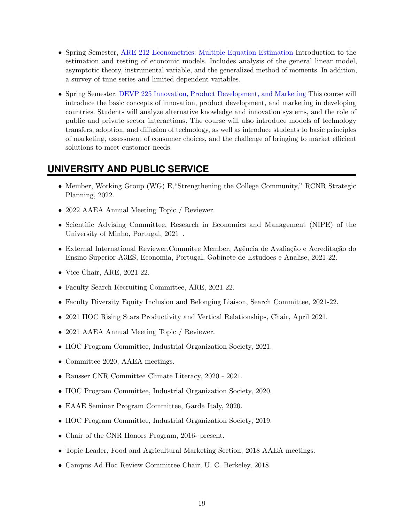- Spring Semester, [ARE 212 Econometrics: Multiple Equation Estimation](https://registrar.berkeley.edu/scheduling/academic-scheduling/final-exam-guide-schedules) Introduction to the estimation and testing of economic models. Includes analysis of the general linear model, asymptotic theory, instrumental variable, and the generalized method of moments. In addition, a survey of time series and limited dependent variables.
- Spring Semester, [DEVP 225 Innovation, Product Development, and Marketing](https://classes.berkeley.edu/content/2019-spring-devp-225-001-lec-001) This course will introduce the basic concepts of innovation, product development, and marketing in developing countries. Students will analyze alternative knowledge and innovation systems, and the role of public and private sector interactions. The course will also introduce models of technology transfers, adoption, and diffusion of technology, as well as introduce students to basic principles of marketing, assessment of consumer choices, and the challenge of bringing to market efficient solutions to meet customer needs.

## **UNIVERSITY AND PUBLIC SERVICE**

- Member, Working Group (WG) E,"Strengthening the College Community," RCNR Strategic Planning, 2022.
- 2022 AAEA Annual Meeting Topic / Reviewer.
- Scientific Advising Committee, Research in Economics and Management (NIPE) of the University of Minho, Portugal, 2021–.
- External International Reviewer, Commitee Member, Agência de Avaliação e Acreditação do Ensino Superior-A3ES, Economia, Portugal, Gabinete de Estudoes e Analise, 2021-22.
- Vice Chair, ARE, 2021-22.
- Faculty Search Recruiting Committee, ARE, 2021-22.
- Faculty Diversity Equity Inclusion and Belonging Liaison, Search Committee, 2021-22.
- 2021 IIOC Rising Stars Productivity and Vertical Relationships, Chair, April 2021.
- 2021 AAEA Annual Meeting Topic / Reviewer.
- IIOC Program Committee, Industrial Organization Society, 2021.
- Committee 2020, AAEA meetings.
- Rausser CNR Committee Climate Literacy, 2020 2021.
- IIOC Program Committee, Industrial Organization Society, 2020.
- EAAE Seminar Program Committee, Garda Italy, 2020.
- IIOC Program Committee, Industrial Organization Society, 2019.
- Chair of the CNR Honors Program, 2016- present.
- Topic Leader, Food and Agricultural Marketing Section, 2018 AAEA meetings.
- Campus Ad Hoc Review Committee Chair, U. C. Berkeley, 2018.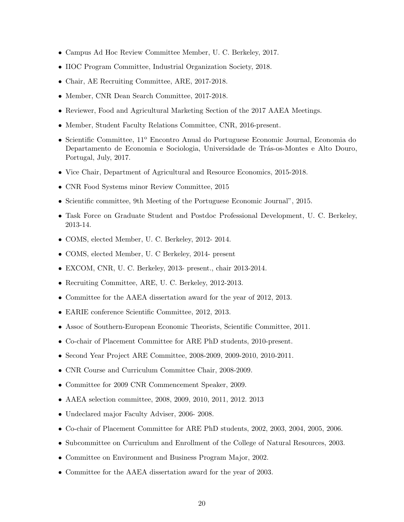- Campus Ad Hoc Review Committee Member, U. C. Berkeley, 2017.
- IIOC Program Committee, Industrial Organization Society, 2018.
- Chair, AE Recruiting Committee, ARE, 2017-2018.
- Member, CNR Dean Search Committee, 2017-2018.
- Reviewer, Food and Agricultural Marketing Section of the 2017 AAEA Meetings.
- Member, Student Faculty Relations Committee, CNR, 2016-present.
- Scientific Committee, 11<sup>o</sup> Encontro Anual do Portuguese Economic Journal, Economia do Departamento de Economia e Sociologia, Universidade de Trás-os-Montes e Alto Douro, Portugal, July, 2017.
- Vice Chair, Department of Agricultural and Resource Economics, 2015-2018.
- CNR Food Systems minor Review Committee, 2015
- Scientific committee, 9th Meeting of the Portuguese Economic Journal", 2015.
- Task Force on Graduate Student and Postdoc Professional Development, U. C. Berkeley, 2013-14.
- COMS, elected Member, U. C. Berkeley, 2012- 2014.
- COMS, elected Member, U. C Berkeley, 2014- present
- EXCOM, CNR, U. C. Berkeley, 2013- present., chair 2013-2014.
- Recruiting Committee, ARE, U. C. Berkeley, 2012-2013.
- Committee for the AAEA dissertation award for the year of 2012, 2013.
- EARIE conference Scientific Committee, 2012, 2013.
- Assoc of Southern-European Economic Theorists, Scientific Committee, 2011.
- Co-chair of Placement Committee for ARE PhD students, 2010-present.
- Second Year Project ARE Committee, 2008-2009, 2009-2010, 2010-2011.
- CNR Course and Curriculum Committee Chair, 2008-2009.
- Committee for 2009 CNR Commencement Speaker, 2009.
- AAEA selection committee, 2008, 2009, 2010, 2011, 2012. 2013
- Undeclared major Faculty Adviser, 2006- 2008.
- Co-chair of Placement Committee for ARE PhD students, 2002, 2003, 2004, 2005, 2006.
- Subcommittee on Curriculum and Enrollment of the College of Natural Resources, 2003.
- Committee on Environment and Business Program Major, 2002.
- Committee for the AAEA dissertation award for the year of 2003.